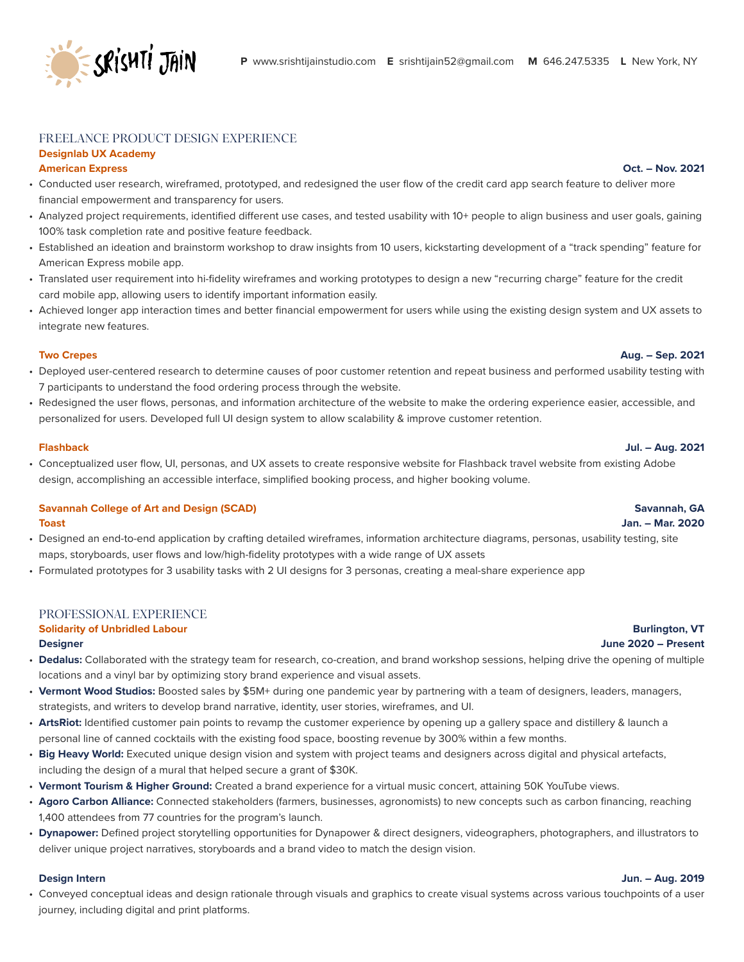# **Designlab UX Academy**

### **American Express Oct. – Nov. 2021**

- Conducted user research, wireframed, prototyped, and redesigned the user flow of the credit card app search feature to deliver more financial empowerment and transparency for users.
- Analyzed project requirements, identified different use cases, and tested usability with 10+ people to align business and user goals, gaining 100% task completion rate and positive feature feedback.

**P** www.srishtijainstudio.com **E** srishtijain52@gmail.com **M** 646.247.5335 **L** New York, NY

- Established an ideation and brainstorm workshop to draw insights from 10 users, kickstarting development of a "track spending" feature for American Express mobile app.
- Translated user requirement into hi-fidelity wireframes and working prototypes to design a new "recurring charge" feature for the credit card mobile app, allowing users to identify important information easily.
- Achieved longer app interaction times and better financial empowerment for users while using the existing design system and UX assets to integrate new features.

- Deployed user-centered research to determine causes of poor customer retention and repeat business and performed usability testing with 7 participants to understand the food ordering process through the website.
- Redesigned the user flows, personas, and information architecture of the website to make the ordering experience easier, accessible, and personalized for users. Developed full UI design system to allow scalability & improve customer retention.

### **Flashback Jul. – Aug. 2021**

• Conceptualized user flow, UI, personas, and UX assets to create responsive website for Flashback travel website from existing Adobe design, accomplishing an accessible interface, simplified booking process, and higher booking volume.

### **Savannah College of Art and Design (SCAD) Savannah, GA Toast Jan. – Mar. 2020**

- Designed an end-to-end application by crafting detailed wireframes, information architecture diagrams, personas, usability testing, site maps, storyboards, user flows and low/high-fidelity prototypes with a wide range of UX assets
- Formulated prototypes for 3 usability tasks with 2 UI designs for 3 personas, creating a meal-share experience app

### PROFESSIONAL EXPERIENCE

# **Solidarity of Unbridled Labour Burlington, VT** and the United States of the United States of Burlington, VT

- 
- **Dedalus:** Collaborated with the strategy team for research, co-creation, and brand workshop sessions, helping drive the opening of multiple locations and a vinyl bar by optimizing story brand experience and visual assets.
- **Vermont Wood Studios:** Boosted sales by \$5M+ during one pandemic year by partnering with a team of designers, leaders, managers, strategists, and writers to develop brand narrative, identity, user stories, wireframes, and UI.
- **ArtsRiot:** Identified customer pain points to revamp the customer experience by opening up a gallery space and distillery & launch a personal line of canned cocktails with the existing food space, boosting revenue by 300% within a few months.
- **Big Heavy World:** Executed unique design vision and system with project teams and designers across digital and physical artefacts, including the design of a mural that helped secure a grant of \$30K.
- **Vermont Tourism & Higher Ground:** Created a brand experience for a virtual music concert, attaining 50K YouTube views.
- Agoro Carbon Alliance: Connected stakeholders (farmers, businesses, agronomists) to new concepts such as carbon financing, reaching 1,400 attendees from 77 countries for the program's launch.
- **Dynapower:** Defined project storytelling opportunities for Dynapower & direct designers, videographers, photographers, and illustrators to deliver unique project narratives, storyboards and a brand video to match the design vision.

• Conveyed conceptual ideas and design rationale through visuals and graphics to create visual systems across various touchpoints of a user journey, including digital and print platforms.

# **Two Crepes Aug. – Sep. 2021**

### **Designer June 2020 – Present**

## **Design Intern Jun. – Aug. 2019**